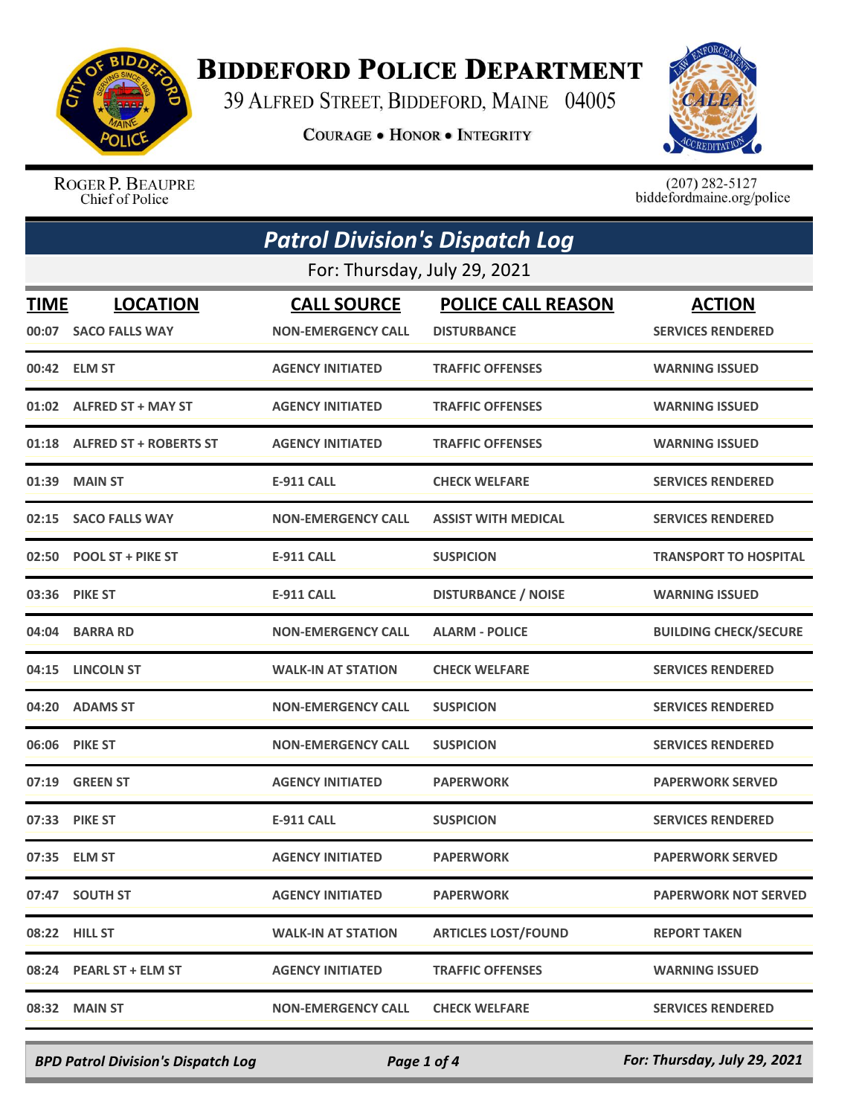

## **BIDDEFORD POLICE DEPARTMENT**

39 ALFRED STREET, BIDDEFORD, MAINE 04005

**COURAGE . HONOR . INTEGRITY** 



ROGER P. BEAUPRE Chief of Police

 $(207)$  282-5127<br>biddefordmaine.org/police

| <b>Patrol Division's Dispatch Log</b> |                                         |                                                 |                                                 |                                           |  |
|---------------------------------------|-----------------------------------------|-------------------------------------------------|-------------------------------------------------|-------------------------------------------|--|
|                                       | For: Thursday, July 29, 2021            |                                                 |                                                 |                                           |  |
| TIME                                  | <b>LOCATION</b><br>00:07 SACO FALLS WAY | <b>CALL SOURCE</b><br><b>NON-EMERGENCY CALL</b> | <b>POLICE CALL REASON</b><br><b>DISTURBANCE</b> | <b>ACTION</b><br><b>SERVICES RENDERED</b> |  |
|                                       | 00:42 ELM ST                            | <b>AGENCY INITIATED</b>                         | <b>TRAFFIC OFFENSES</b>                         | <b>WARNING ISSUED</b>                     |  |
|                                       | 01:02 ALFRED ST + MAY ST                | <b>AGENCY INITIATED</b>                         | <b>TRAFFIC OFFENSES</b>                         | <b>WARNING ISSUED</b>                     |  |
|                                       | 01:18 ALFRED ST + ROBERTS ST            | <b>AGENCY INITIATED</b>                         | <b>TRAFFIC OFFENSES</b>                         | <b>WARNING ISSUED</b>                     |  |
| 01:39                                 | <b>MAIN ST</b>                          | <b>E-911 CALL</b>                               | <b>CHECK WELFARE</b>                            | <b>SERVICES RENDERED</b>                  |  |
| 02:15                                 | <b>SACO FALLS WAY</b>                   | <b>NON-EMERGENCY CALL</b>                       | <b>ASSIST WITH MEDICAL</b>                      | <b>SERVICES RENDERED</b>                  |  |
|                                       | 02:50 POOL ST + PIKE ST                 | <b>E-911 CALL</b>                               | <b>SUSPICION</b>                                | <b>TRANSPORT TO HOSPITAL</b>              |  |
| 03:36                                 | <b>PIKE ST</b>                          | <b>E-911 CALL</b>                               | <b>DISTURBANCE / NOISE</b>                      | <b>WARNING ISSUED</b>                     |  |
| 04:04                                 | <b>BARRA RD</b>                         | <b>NON-EMERGENCY CALL</b>                       | <b>ALARM - POLICE</b>                           | <b>BUILDING CHECK/SECURE</b>              |  |
|                                       | 04:15 LINCOLN ST                        | <b>WALK-IN AT STATION</b>                       | <b>CHECK WELFARE</b>                            | <b>SERVICES RENDERED</b>                  |  |
| 04:20                                 | <b>ADAMS ST</b>                         | <b>NON-EMERGENCY CALL</b>                       | <b>SUSPICION</b>                                | <b>SERVICES RENDERED</b>                  |  |
| 06:06                                 | <b>PIKE ST</b>                          | <b>NON-EMERGENCY CALL</b>                       | <b>SUSPICION</b>                                | <b>SERVICES RENDERED</b>                  |  |
| 07:19                                 | <b>GREEN ST</b>                         | <b>AGENCY INITIATED</b>                         | <b>PAPERWORK</b>                                | <b>PAPERWORK SERVED</b>                   |  |
|                                       | 07:33 PIKE ST                           | <b>E-911 CALL</b>                               | <b>SUSPICION</b>                                | <b>SERVICES RENDERED</b>                  |  |
|                                       | 07:35 ELM ST                            | <b>AGENCY INITIATED</b>                         | <b>PAPERWORK</b>                                | <b>PAPERWORK SERVED</b>                   |  |
|                                       | 07:47 SOUTH ST                          | <b>AGENCY INITIATED</b>                         | <b>PAPERWORK</b>                                | <b>PAPERWORK NOT SERVED</b>               |  |
|                                       | 08:22 HILL ST                           | <b>WALK-IN AT STATION</b>                       | <b>ARTICLES LOST/FOUND</b>                      | <b>REPORT TAKEN</b>                       |  |
|                                       | 08:24 PEARL ST + ELM ST                 | <b>AGENCY INITIATED</b>                         | <b>TRAFFIC OFFENSES</b>                         | <b>WARNING ISSUED</b>                     |  |
|                                       | 08:32 MAIN ST                           | <b>NON-EMERGENCY CALL</b>                       | <b>CHECK WELFARE</b>                            | <b>SERVICES RENDERED</b>                  |  |

*BPD Patrol Division's Dispatch Log Page 1 of 4 For: Thursday, July 29, 2021*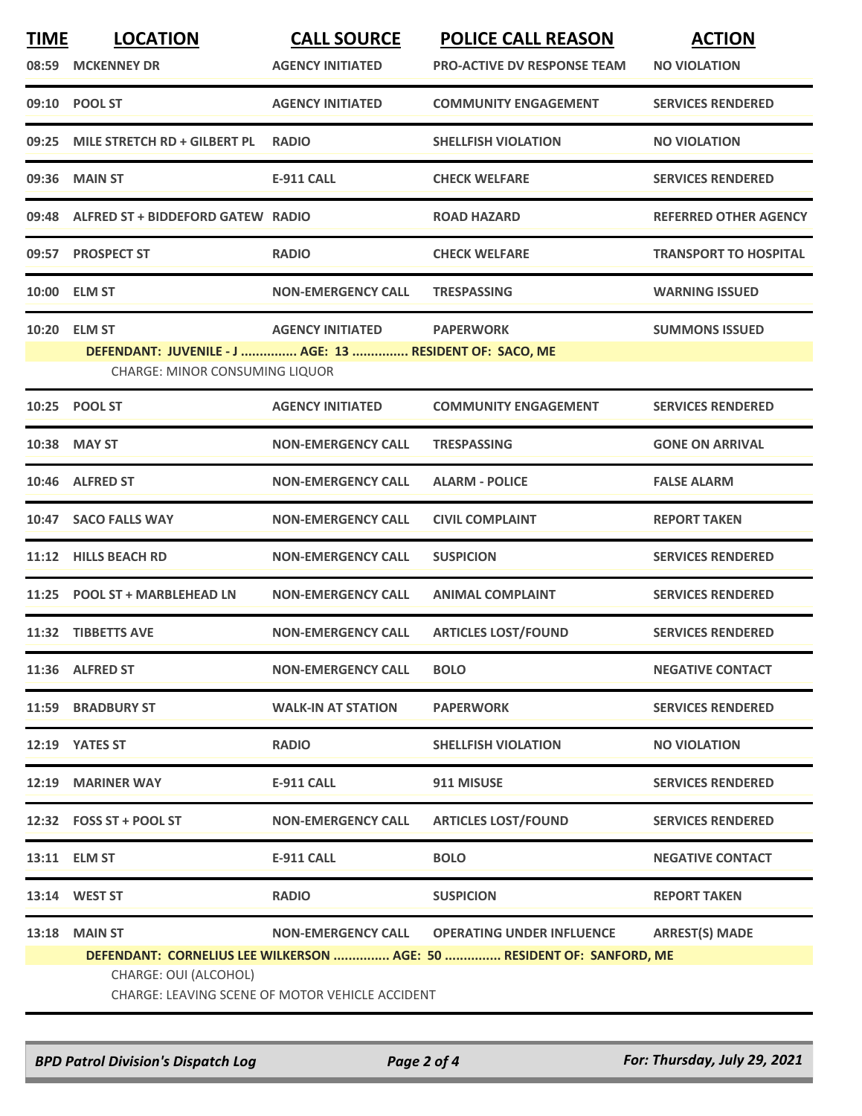| <b>TIME</b>  | <b>LOCATION</b>                                         | <b>CALL SOURCE</b>                              | <b>POLICE CALL REASON</b>                                             | <b>ACTION</b>                |
|--------------|---------------------------------------------------------|-------------------------------------------------|-----------------------------------------------------------------------|------------------------------|
| 08:59        | <b>MCKENNEY DR</b>                                      | <b>AGENCY INITIATED</b>                         | <b>PRO-ACTIVE DV RESPONSE TEAM</b>                                    | <b>NO VIOLATION</b>          |
|              | 09:10 POOL ST                                           | <b>AGENCY INITIATED</b>                         | <b>COMMUNITY ENGAGEMENT</b>                                           | <b>SERVICES RENDERED</b>     |
| 09:25        | MILE STRETCH RD + GILBERT PL                            | <b>RADIO</b>                                    | <b>SHELLFISH VIOLATION</b>                                            | <b>NO VIOLATION</b>          |
| 09:36        | <b>MAIN ST</b>                                          | <b>E-911 CALL</b>                               | <b>CHECK WELFARE</b>                                                  | <b>SERVICES RENDERED</b>     |
| 09:48        | ALFRED ST + BIDDEFORD GATEW RADIO                       |                                                 | <b>ROAD HAZARD</b>                                                    | <b>REFERRED OTHER AGENCY</b> |
| 09:57        | <b>PROSPECT ST</b>                                      | <b>RADIO</b>                                    | <b>CHECK WELFARE</b>                                                  | <b>TRANSPORT TO HOSPITAL</b> |
| <b>10:00</b> | <b>ELM ST</b>                                           | <b>NON-EMERGENCY CALL</b>                       | <b>TRESPASSING</b>                                                    | <b>WARNING ISSUED</b>        |
| 10:20        | <b>ELM ST</b>                                           | <b>AGENCY INITIATED</b>                         | <b>PAPERWORK</b>                                                      | <b>SUMMONS ISSUED</b>        |
|              | DEFENDANT: JUVENILE - J  AGE: 13  RESIDENT OF: SACO, ME |                                                 |                                                                       |                              |
|              | <b>CHARGE: MINOR CONSUMING LIQUOR</b>                   |                                                 |                                                                       |                              |
|              | 10:25 POOL ST                                           | <b>AGENCY INITIATED</b>                         | <b>COMMUNITY ENGAGEMENT</b>                                           | <b>SERVICES RENDERED</b>     |
| 10:38        | <b>MAY ST</b>                                           | <b>NON-EMERGENCY CALL</b>                       | <b>TRESPASSING</b>                                                    | <b>GONE ON ARRIVAL</b>       |
| 10:46        | <b>ALFRED ST</b>                                        | <b>NON-EMERGENCY CALL</b>                       | <b>ALARM - POLICE</b>                                                 | <b>FALSE ALARM</b>           |
| 10:47        | <b>SACO FALLS WAY</b>                                   | <b>NON-EMERGENCY CALL</b>                       | <b>CIVIL COMPLAINT</b>                                                | <b>REPORT TAKEN</b>          |
| 11:12        | <b>HILLS BEACH RD</b>                                   | <b>NON-EMERGENCY CALL</b>                       | <b>SUSPICION</b>                                                      | <b>SERVICES RENDERED</b>     |
| 11:25        | <b>POOL ST + MARBLEHEAD LN</b>                          | <b>NON-EMERGENCY CALL</b>                       | <b>ANIMAL COMPLAINT</b>                                               | <b>SERVICES RENDERED</b>     |
| 11:32        | <b>TIBBETTS AVE</b>                                     | <b>NON-EMERGENCY CALL</b>                       | <b>ARTICLES LOST/FOUND</b>                                            | <b>SERVICES RENDERED</b>     |
|              | 11:36 ALFRED ST                                         | <b>NON-EMERGENCY CALL</b>                       | <b>BOLO</b>                                                           | <b>NEGATIVE CONTACT</b>      |
|              | 11:59 BRADBURY ST                                       | <b>WALK-IN AT STATION</b>                       | <b>PAPERWORK</b>                                                      | <b>SERVICES RENDERED</b>     |
|              | 12:19 YATES ST                                          | <b>RADIO</b>                                    | <b>SHELLFISH VIOLATION</b>                                            | <b>NO VIOLATION</b>          |
| 12:19        | <b>MARINER WAY</b>                                      | <b>E-911 CALL</b>                               | 911 MISUSE                                                            | <b>SERVICES RENDERED</b>     |
|              | 12:32 FOSS ST + POOL ST                                 | <b>NON-EMERGENCY CALL</b>                       | <b>ARTICLES LOST/FOUND</b>                                            | <b>SERVICES RENDERED</b>     |
|              | 13:11 ELM ST                                            | <b>E-911 CALL</b>                               | <b>BOLO</b>                                                           | <b>NEGATIVE CONTACT</b>      |
|              | 13:14 WEST ST                                           | <b>RADIO</b>                                    | <b>SUSPICION</b>                                                      | <b>REPORT TAKEN</b>          |
| 13:18        | <b>MAIN ST</b>                                          | <b>NON-EMERGENCY CALL</b>                       | <b>OPERATING UNDER INFLUENCE</b>                                      | <b>ARREST(S) MADE</b>        |
|              |                                                         |                                                 | DEFENDANT: CORNELIUS LEE WILKERSON  AGE: 50  RESIDENT OF: SANFORD, ME |                              |
|              | CHARGE: OUI (ALCOHOL)                                   | CHARGE: LEAVING SCENE OF MOTOR VEHICLE ACCIDENT |                                                                       |                              |
|              |                                                         |                                                 |                                                                       |                              |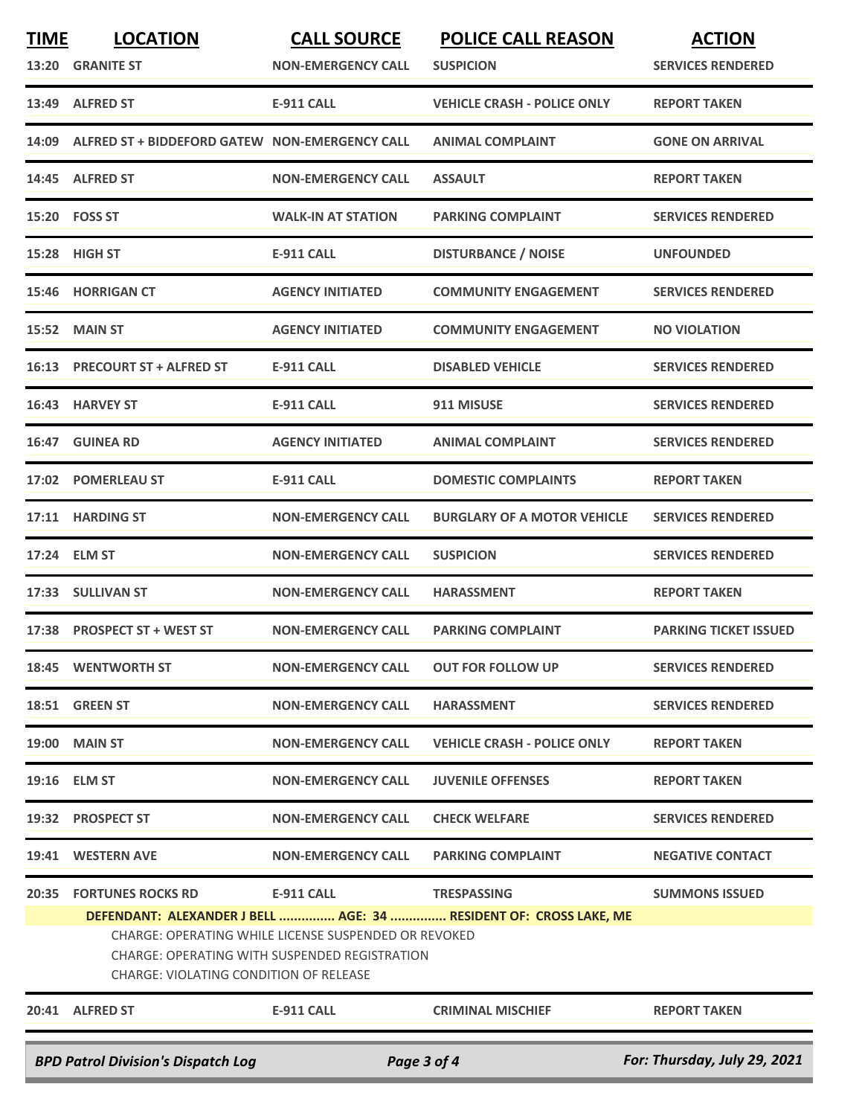| <b>TIME</b><br>13:20                                     | <b>LOCATION</b><br><b>GRANITE ST</b>           | <b>CALL SOURCE</b><br><b>NON-EMERGENCY CALL</b>                                                       | <b>POLICE CALL REASON</b><br><b>SUSPICION</b>                     | <b>ACTION</b><br><b>SERVICES RENDERED</b> |
|----------------------------------------------------------|------------------------------------------------|-------------------------------------------------------------------------------------------------------|-------------------------------------------------------------------|-------------------------------------------|
| 13:49                                                    | <b>ALFRED ST</b>                               | <b>E-911 CALL</b>                                                                                     | <b>VEHICLE CRASH - POLICE ONLY</b>                                | <b>REPORT TAKEN</b>                       |
| 14:09                                                    | ALFRED ST + BIDDEFORD GATEW NON-EMERGENCY CALL |                                                                                                       | <b>ANIMAL COMPLAINT</b>                                           | <b>GONE ON ARRIVAL</b>                    |
| 14:45                                                    | <b>ALFRED ST</b>                               | <b>NON-EMERGENCY CALL</b>                                                                             | <b>ASSAULT</b>                                                    | <b>REPORT TAKEN</b>                       |
|                                                          | 15:20    FOSS ST                               | <b>WALK-IN AT STATION</b>                                                                             | <b>PARKING COMPLAINT</b>                                          | <b>SERVICES RENDERED</b>                  |
| 15:28                                                    | HIGH ST                                        | <b>E-911 CALL</b>                                                                                     | <b>DISTURBANCE / NOISE</b>                                        | <b>UNFOUNDED</b>                          |
| 15:46                                                    | <b>HORRIGAN CT</b>                             | <b>AGENCY INITIATED</b>                                                                               | <b>COMMUNITY ENGAGEMENT</b>                                       | <b>SERVICES RENDERED</b>                  |
|                                                          | 15:52 MAIN ST                                  | <b>AGENCY INITIATED</b>                                                                               | <b>COMMUNITY ENGAGEMENT</b>                                       | <b>NO VIOLATION</b>                       |
| 16:13                                                    | <b>PRECOURT ST + ALFRED ST</b>                 | <b>E-911 CALL</b>                                                                                     | <b>DISABLED VEHICLE</b>                                           | <b>SERVICES RENDERED</b>                  |
|                                                          | 16:43 HARVEY ST                                | <b>E-911 CALL</b>                                                                                     | 911 MISUSE                                                        | <b>SERVICES RENDERED</b>                  |
| 16:47                                                    | <b>GUINEA RD</b>                               | <b>AGENCY INITIATED</b>                                                                               | <b>ANIMAL COMPLAINT</b>                                           | <b>SERVICES RENDERED</b>                  |
| 17:02                                                    | <b>POMERLEAU ST</b>                            | <b>E-911 CALL</b>                                                                                     | <b>DOMESTIC COMPLAINTS</b>                                        | <b>REPORT TAKEN</b>                       |
| 17:11                                                    | <b>HARDING ST</b>                              | <b>NON-EMERGENCY CALL</b>                                                                             | <b>BURGLARY OF A MOTOR VEHICLE</b>                                | <b>SERVICES RENDERED</b>                  |
|                                                          | 17:24 ELM ST                                   | <b>NON-EMERGENCY CALL</b>                                                                             | <b>SUSPICION</b>                                                  | <b>SERVICES RENDERED</b>                  |
| 17:33                                                    | <b>SULLIVAN ST</b>                             | <b>NON-EMERGENCY CALL</b>                                                                             | <b>HARASSMENT</b>                                                 | <b>REPORT TAKEN</b>                       |
| 17:38                                                    | <b>PROSPECT ST + WEST ST</b>                   | <b>NON-EMERGENCY CALL</b>                                                                             | <b>PARKING COMPLAINT</b>                                          | <b>PARKING TICKET ISSUED</b>              |
|                                                          | 18:45 WENTWORTH ST                             | <b>NON-EMERGENCY CALL</b>                                                                             | <b>OUT FOR FOLLOW UP</b>                                          | <b>SERVICES RENDERED</b>                  |
|                                                          | 18:51 GREEN ST                                 | <b>NON-EMERGENCY CALL</b>                                                                             | <b>HARASSMENT</b>                                                 | <b>SERVICES RENDERED</b>                  |
|                                                          | <b>19:00 MAIN ST</b>                           | <b>NON-EMERGENCY CALL</b>                                                                             | <b>VEHICLE CRASH - POLICE ONLY</b>                                | <b>REPORT TAKEN</b>                       |
|                                                          | 19:16 ELM ST                                   | <b>NON-EMERGENCY CALL</b>                                                                             | <b>JUVENILE OFFENSES</b>                                          | <b>REPORT TAKEN</b>                       |
|                                                          | 19:32 PROSPECT ST                              | <b>NON-EMERGENCY CALL</b>                                                                             | <b>CHECK WELFARE</b>                                              | <b>SERVICES RENDERED</b>                  |
|                                                          | 19:41 WESTERN AVE                              | <b>NON-EMERGENCY CALL</b>                                                                             | <b>PARKING COMPLAINT</b>                                          | <b>NEGATIVE CONTACT</b>                   |
|                                                          | <b>20:35 FORTUNES ROCKS RD</b>                 | <b>E-911 CALL</b>                                                                                     | <b>TRESPASSING</b>                                                | <b>SUMMONS ISSUED</b>                     |
|                                                          | CHARGE: VIOLATING CONDITION OF RELEASE         | CHARGE: OPERATING WHILE LICENSE SUSPENDED OR REVOKED<br>CHARGE: OPERATING WITH SUSPENDED REGISTRATION | DEFENDANT: ALEXANDER J BELL  AGE: 34  RESIDENT OF: CROSS LAKE, ME |                                           |
|                                                          | 20:41 ALFRED ST                                | E-911 CALL                                                                                            | <b>CRIMINAL MISCHIEF</b>                                          | <b>REPORT TAKEN</b>                       |
| <b>BPD Patrol Division's Dispatch Log</b><br>Page 3 of 4 |                                                |                                                                                                       |                                                                   | For: Thursday, July 29, 2021              |